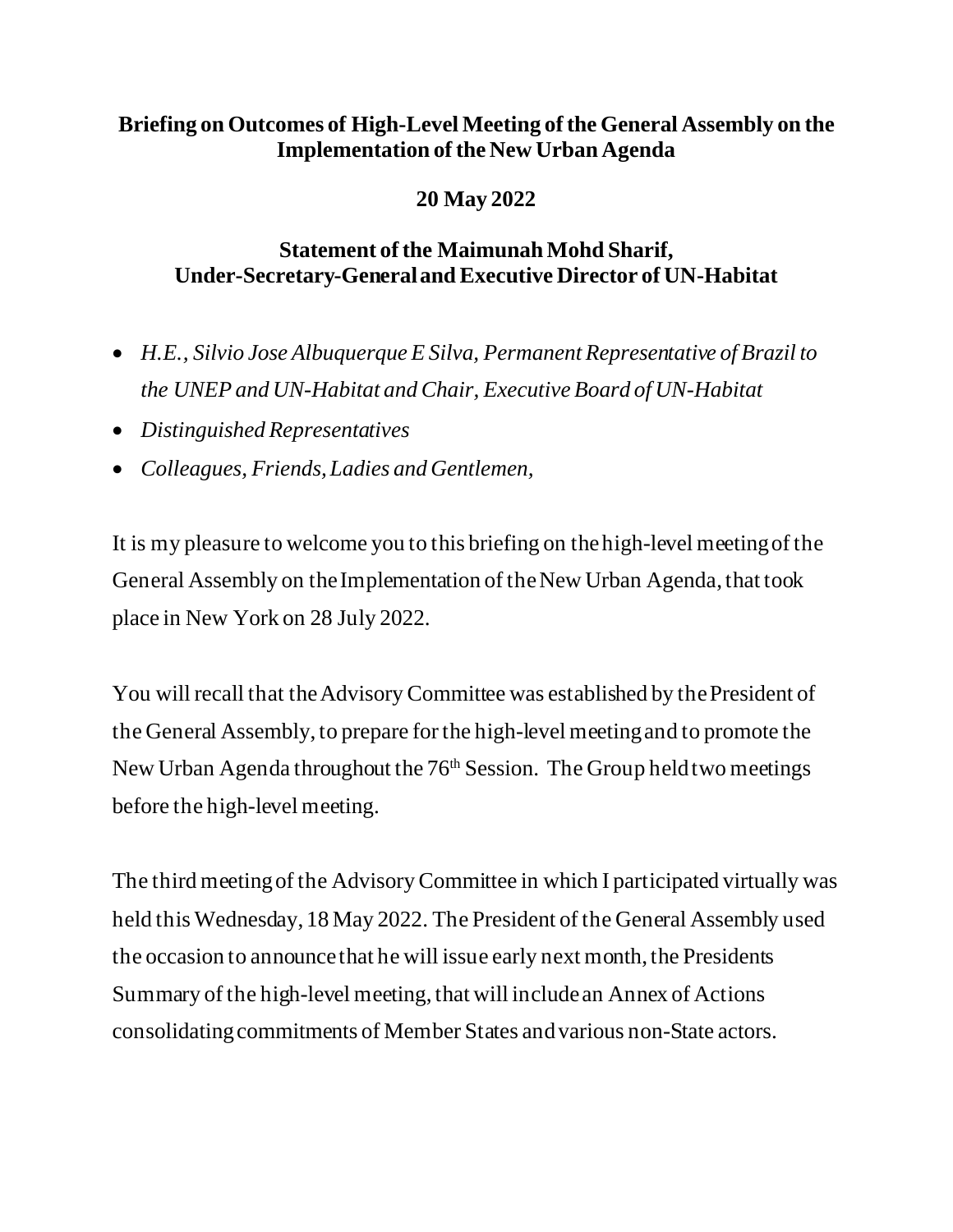## **Briefing on Outcomes of High-Level Meeting of the General Assembly on the Implementation of the New Urban Agenda**

# **20 May 2022**

## **Statement of the Maimunah Mohd Sharif, Under-Secretary-General and Executive Director of UN-Habitat**

- *H.E., Silvio Jose Albuquerque E Silva, Permanent Representative of Brazil to the UNEP and UN-Habitat and Chair, Executive Board of UN-Habitat*
- *Distinguished Representatives*
- *Colleagues, Friends, Ladies and Gentlemen,*

It is my pleasure to welcome you to this briefing on the high-level meeting of the General Assembly on the Implementation of the New Urban Agenda, that took place in New York on 28 July 2022.

You will recall that the Advisory Committee was established by the President of the General Assembly, to prepare for the high-level meeting and to promote the New Urban Agenda throughout the 76<sup>th</sup> Session. The Group held two meetings before the high-level meeting.

The third meeting of the Advisory Committee in which I participated virtually was held this Wednesday, 18 May 2022. The President of the General Assembly used the occasion to announce that he will issue early next month, the Presidents Summary of the high-level meeting, that will include an Annex of Actions consolidating commitments of Member States and various non-State actors.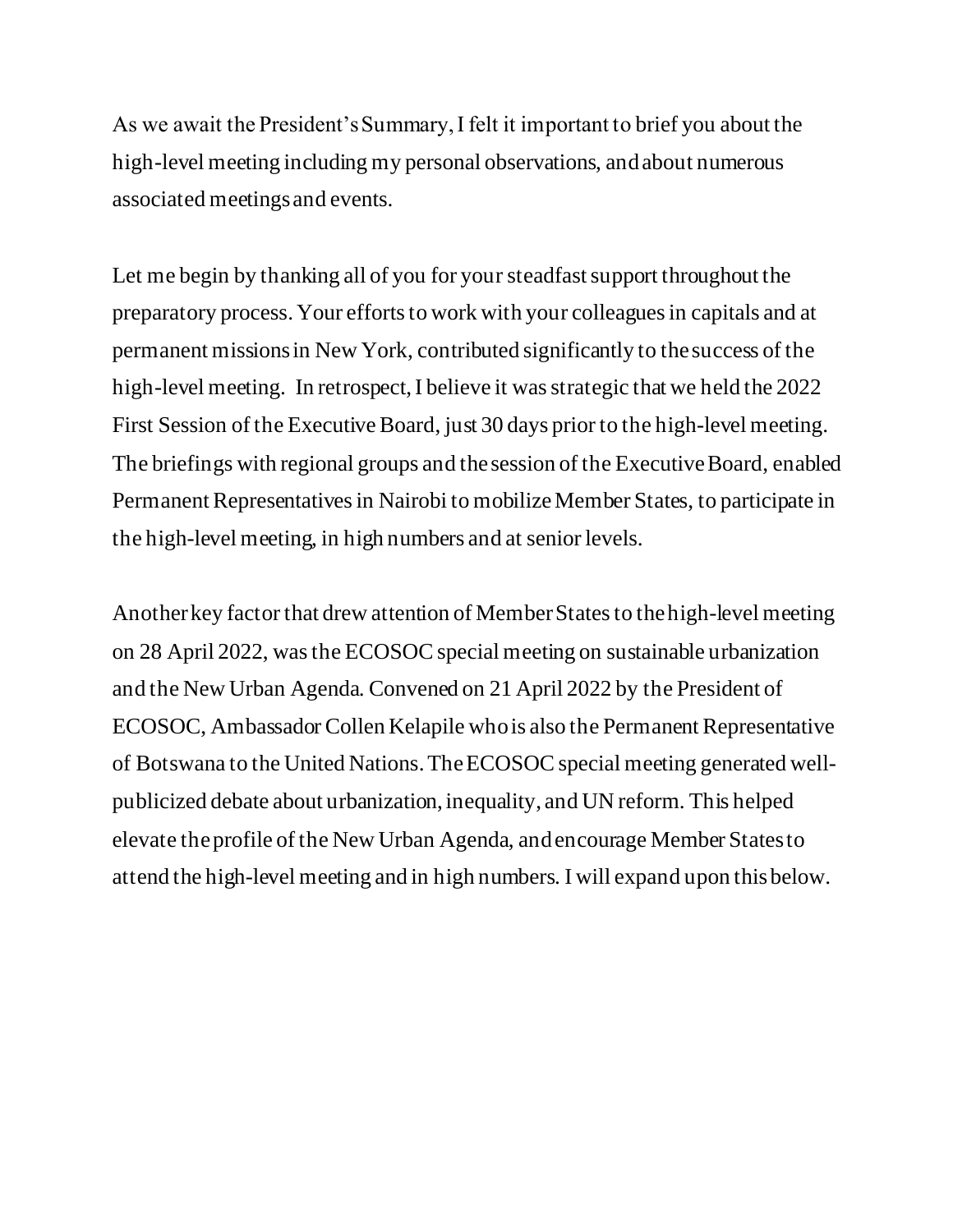As we await the President's Summary, I felt it important to brief you about the high-level meeting including my personal observations, and about numerous associated meetings and events.

Let me begin by thanking all of you for your steadfast support throughout the preparatory process. Your efforts to work with your colleagues in capitals and at permanent missions in New York, contributed significantly to the success of the high-level meeting. In retrospect, I believe it was strategic that we held the 2022 First Session of the Executive Board, just 30 days prior to the high-level meeting. The briefings with regional groups and the session of the Executive Board, enabled Permanent Representatives in Nairobi to mobilize Member States, to participate in the high-level meeting, in high numbers and at senior levels.

Another key factor that drew attention of Member States to the high-level meeting on 28 April 2022, was the ECOSOC special meeting on sustainable urbanization and the New Urban Agenda. Convened on 21 April 2022 by the President of ECOSOC, Ambassador Collen Kelapile who is also the Permanent Representative of Botswana to the United Nations. TheECOSOC special meeting generated wellpublicized debate about urbanization, inequality, and UN reform. This helped elevate the profile of the New Urban Agenda, and encourage Member States to attend the high-level meeting and in high numbers. I will expand upon this below.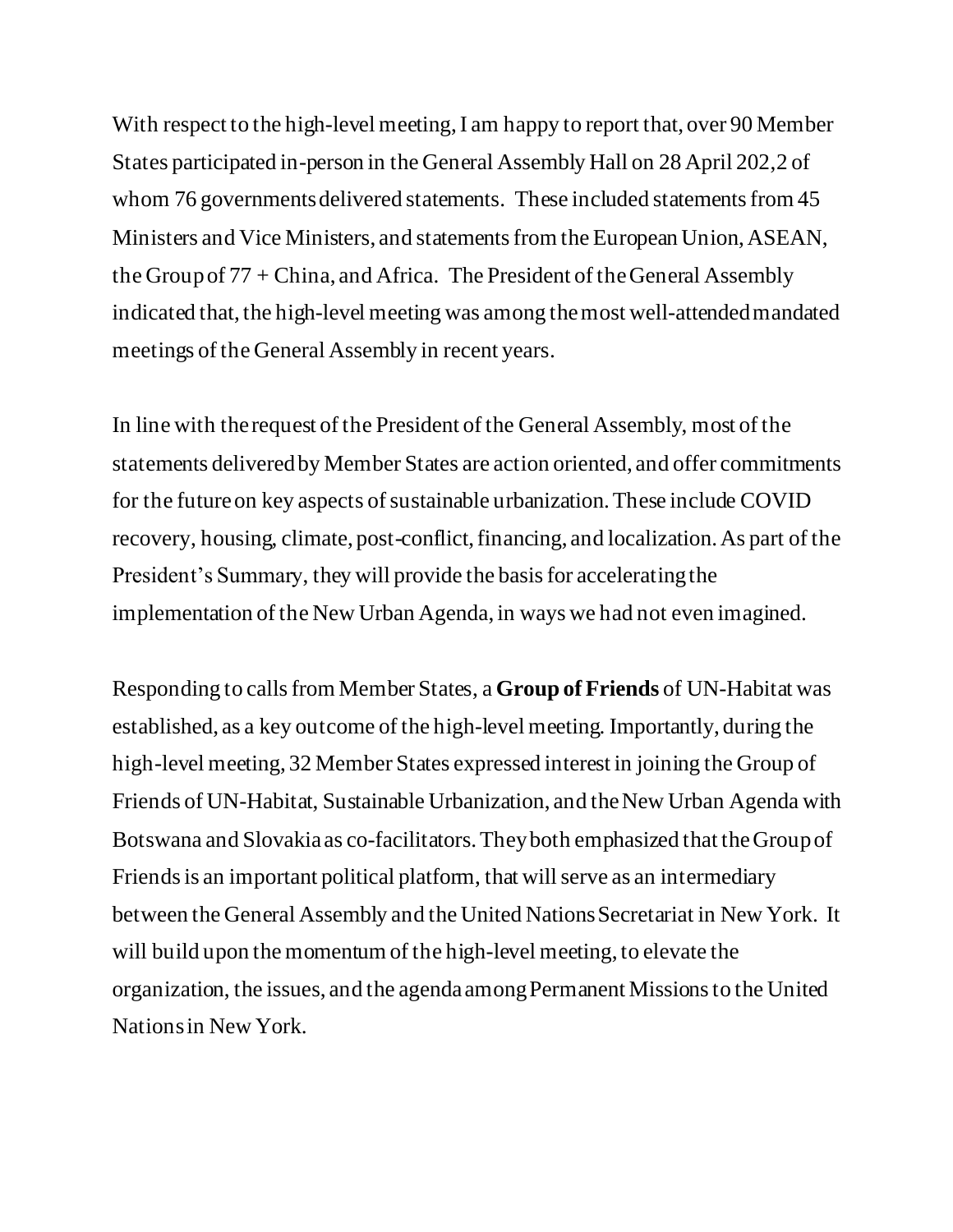With respect to the high-level meeting, I am happy to report that, over 90 Member States participated in-person in the General Assembly Hall on 28 April 202,2 of whom 76 governments delivered statements. These included statements from 45 Ministers and Vice Ministers, and statements from the European Union, ASEAN, the Group of 77 + China, and Africa. The President of the General Assembly indicated that, the high-level meeting was among the most well-attended mandated meetings of the General Assembly in recent years.

In line with the request of the President of the General Assembly, most of the statements delivered by Member States are action oriented, and offer commitments for the futureon key aspects of sustainable urbanization. These include COVID recovery, housing, climate, post-conflict, financing, and localization.As part of the President's Summary, they will provide the basis for accelerating the implementation of the New Urban Agenda, in ways we had not even imagined.

Responding to calls from Member States, a **Group of Friends** of UN-Habitat was established, as a key outcome of the high-level meeting. Importantly, during the high-level meeting, 32 Member States expressed interest in joining the Group of Friends of UN-Habitat, Sustainable Urbanization, and the New Urban Agenda with Botswana and Slovakia as co-facilitators. They both emphasized that theGroup of Friends is an important political platform, that will serve as an intermediary between the General Assembly and the United Nations Secretariat in New York. It will build upon the momentum of the high-level meeting, to elevate the organization, the issues, and the agenda among Permanent Missions to the United Nations in New York.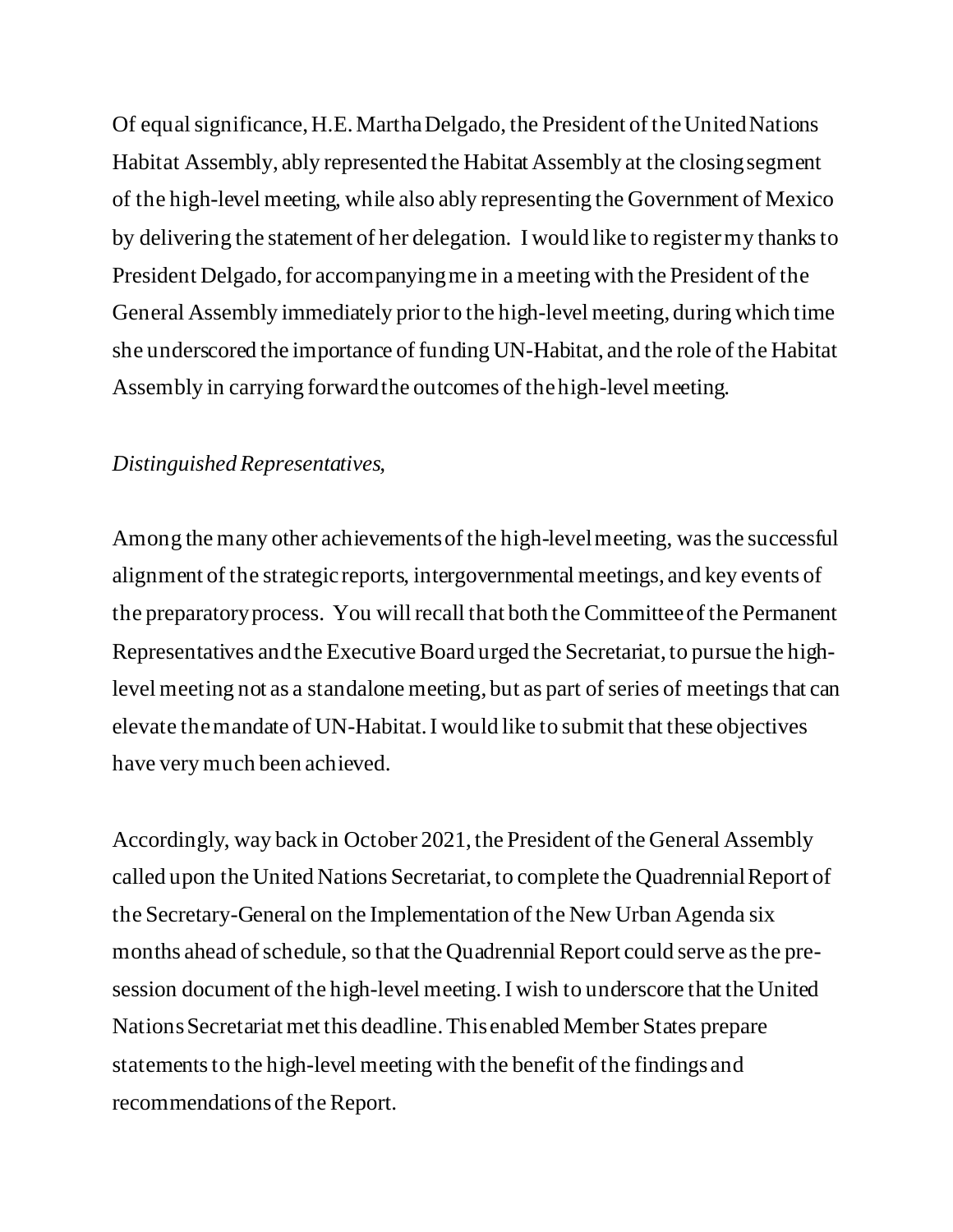Of equal significance, H.E. Martha Delgado, the President of the United Nations Habitat Assembly, ably represented the Habitat Assembly at the closing segment of the high-level meeting, while also ably representing the Government of Mexico by delivering the statement of her delegation. I would like to register my thanks to President Delgado, for accompanying me in a meeting with the President of the General Assembly immediately prior to the high-level meeting, during which time she underscored the importance of funding UN-Habitat, and the role of the Habitat Assembly in carrying forward the outcomes of the high-level meeting.

#### *Distinguished Representatives,*

Among the many other achievements of the high-level meeting, was the successful alignment of the strategic reports, intergovernmental meetings, and key events of the preparatory process. You will recall that both the Committee of the Permanent Representatives and the Executive Board urged the Secretariat, to pursue the highlevel meeting not as a standalone meeting, but as part of series of meetings that can elevate the mandate of UN-Habitat. I would like to submit that these objectives have very much been achieved.

Accordingly, way back in October 2021, the President of the General Assembly called upon the United Nations Secretariat, to complete the Quadrennial Report of the Secretary-General on the Implementation of the New Urban Agenda six months ahead of schedule, so that the Quadrennial Report could serve as the presession document of the high-level meeting. I wish to underscore that the United Nations Secretariat met this deadline. This enabled Member States prepare statements to the high-level meeting with the benefit of the findings and recommendationsof the Report.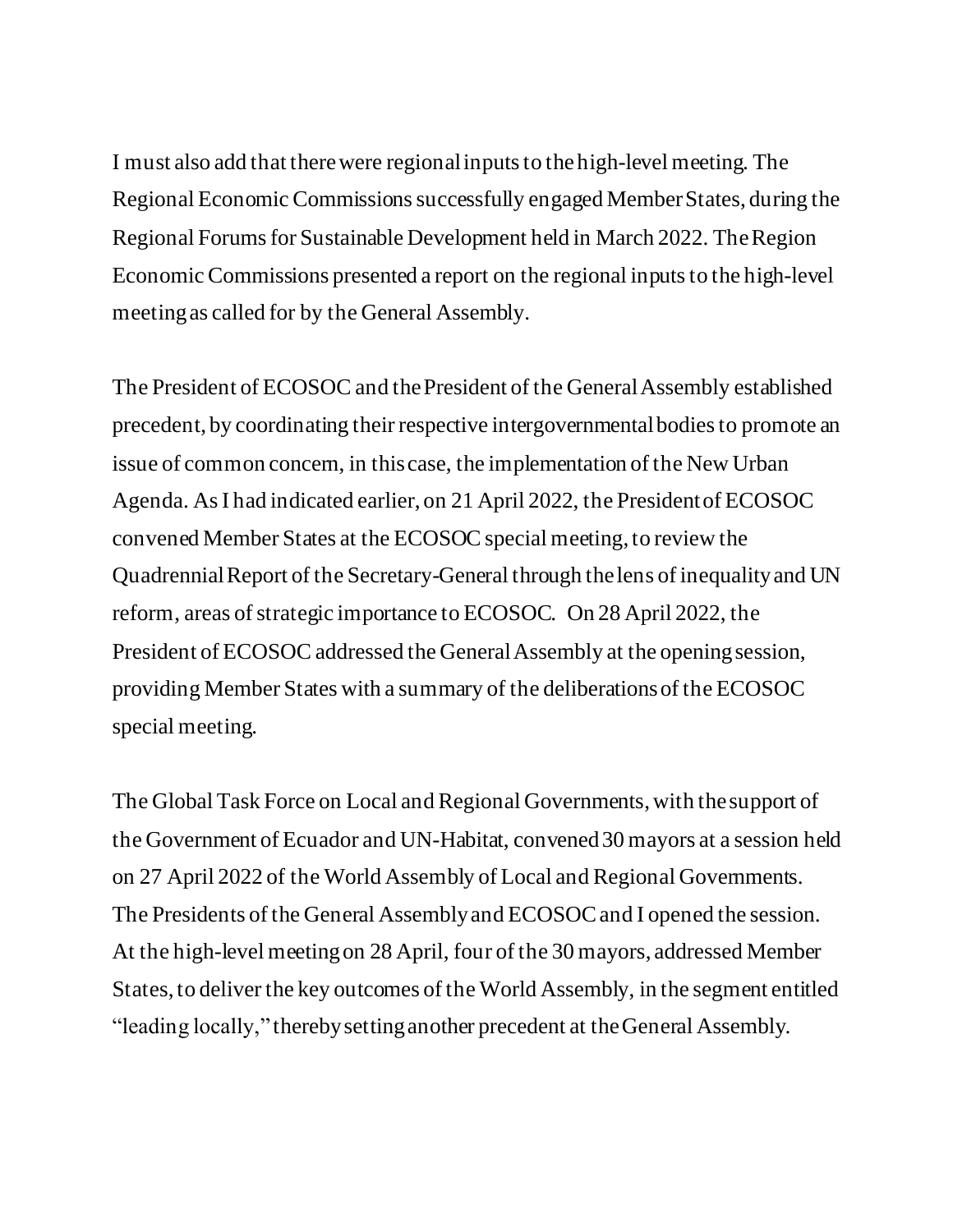I must also add that there were regional inputs to the high-level meeting. The Regional Economic Commissions successfully engaged Member States, during the Regional Forums for Sustainable Development held in March 2022. The Region Economic Commissions presented a report on the regional inputs to the high-level meeting as called for by the General Assembly.

The President of ECOSOC and the President of the General Assembly established precedent, by coordinating their respective intergovernmental bodies to promote an issue of common concern, in this case, the implementation of the New Urban Agenda. As I had indicated earlier, on 21 April 2022, the President of ECOSOC convened Member States at the ECOSOC special meeting,to review the Quadrennial Report of the Secretary-General through the lens of inequality and UN reform, areas of strategic importance to ECOSOC. On 28 April 2022, the President of ECOSOC addressed the General Assembly at the opening session, providing Member States with a summary of the deliberations of the ECOSOC special meeting.

The Global Task Force on Local and Regional Governments,with the support of the Government of Ecuador and UN-Habitat, convened 30 mayors at a session held on 27 April 2022 of the World Assembly of Local and Regional Governments. The Presidents of the General Assembly and ECOSOC and I opened the session. At the high-level meeting on 28 April, four of the 30 mayors, addressed Member States, to deliver the key outcomes of the World Assembly, in the segment entitled "leading locally," therebysetting another precedent at the General Assembly.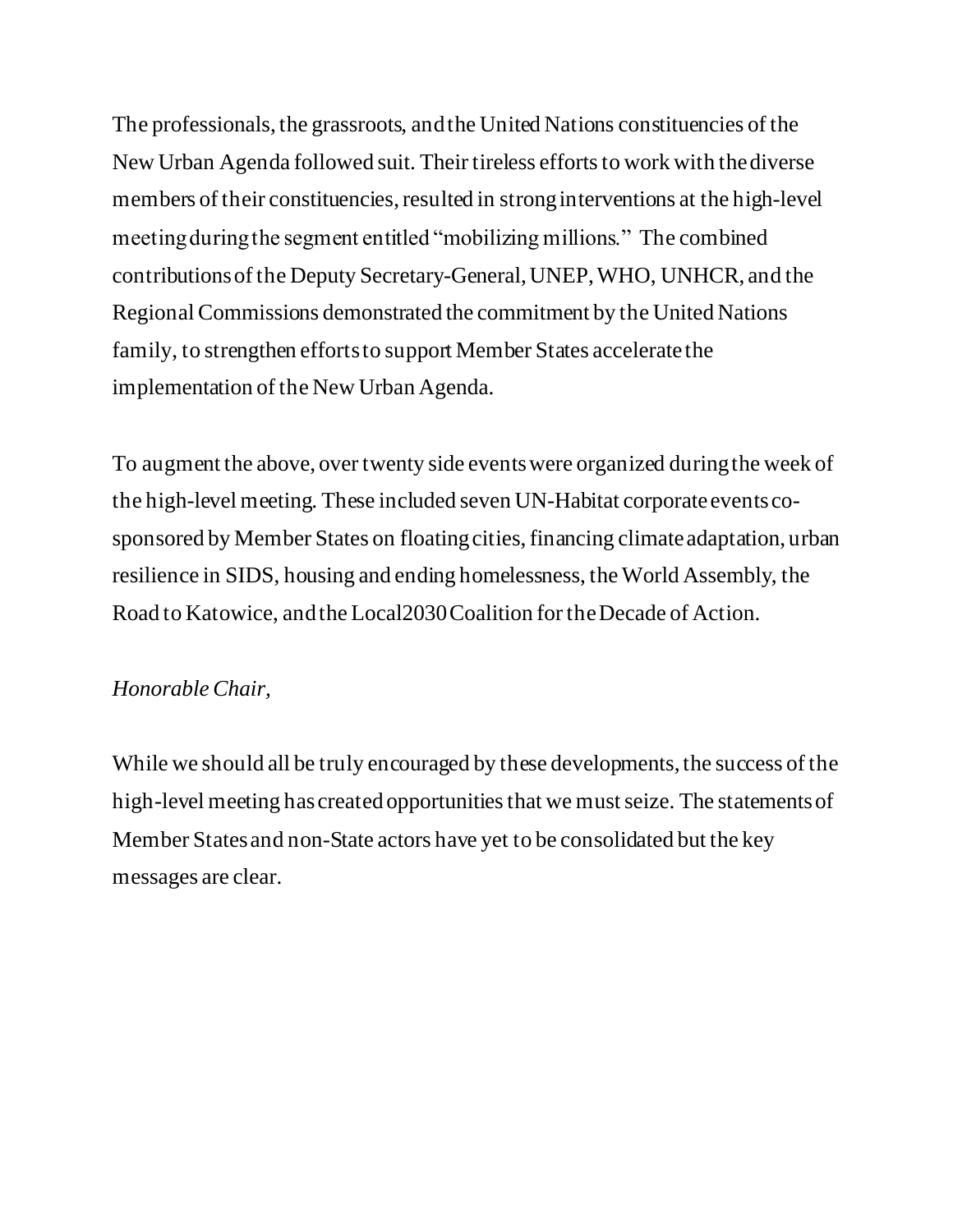The professionals, the grassroots, and the United Nations constituencies of the New Urban Agenda followed suit. Their tireless efforts to work with the diverse members of their constituencies, resulted in strong interventions at the high-level meeting during the segment entitled "mobilizing millions." The combined contributions of the Deputy Secretary-General, UNEP, WHO, UNHCR, and the Regional Commissions demonstrated the commitment by the United Nations family, to strengthen efforts to support Member States accelerate the implementation of the New Urban Agenda.

To augment the above, over twenty side events were organized during the week of the high-level meeting. These included seven UN-Habitat corporate events cosponsored by Member States on floating cities, financing climate adaptation, urban resilience in SIDS, housing and ending homelessness, the World Assembly, the Road to Katowice, and the Local2030 Coalition for the Decade of Action.

## *Honorable Chair,*

While we should all be truly encouraged by these developments, the success of the high-level meeting has created opportunities that we must seize. The statements of Member States and non-State actors have yet to be consolidated but the key messages are clear.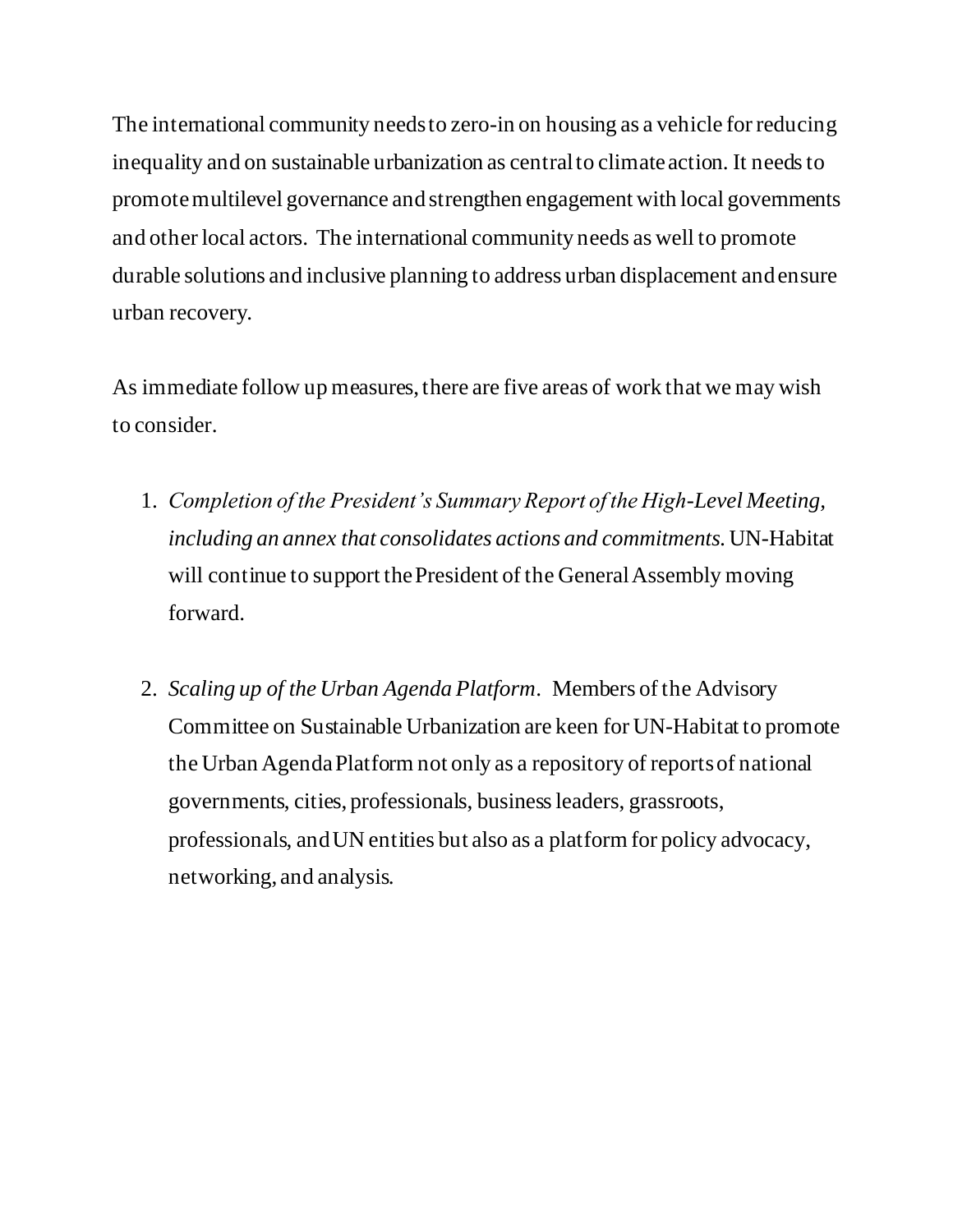The international community needs to zero-in on housing as a vehicle for reducing inequality and on sustainable urbanization as central to climate action. It needs to promote multilevel governance and strengthen engagement with local governments and other local actors. The international community needs as well to promote durable solutions and inclusive planning to address urban displacement and ensure urban recovery.

As immediate follow up measures, there are five areas of work that we may wish to consider.

- 1. *Completion of the President's Summary Report of the High-Level Meeting, including an annex that consolidates actions and commitments.*UN-Habitat will continue to support the President of the General Assembly moving forward.
- 2. *Scaling up of the Urban Agenda Platform*. Members of the Advisory Committee on Sustainable Urbanization are keen for UN-Habitat to promote the Urban Agenda Platform not only as a repository of reports of national governments, cities, professionals, business leaders, grassroots, professionals, and UN entities but also as a platform for policy advocacy, networking, and analysis.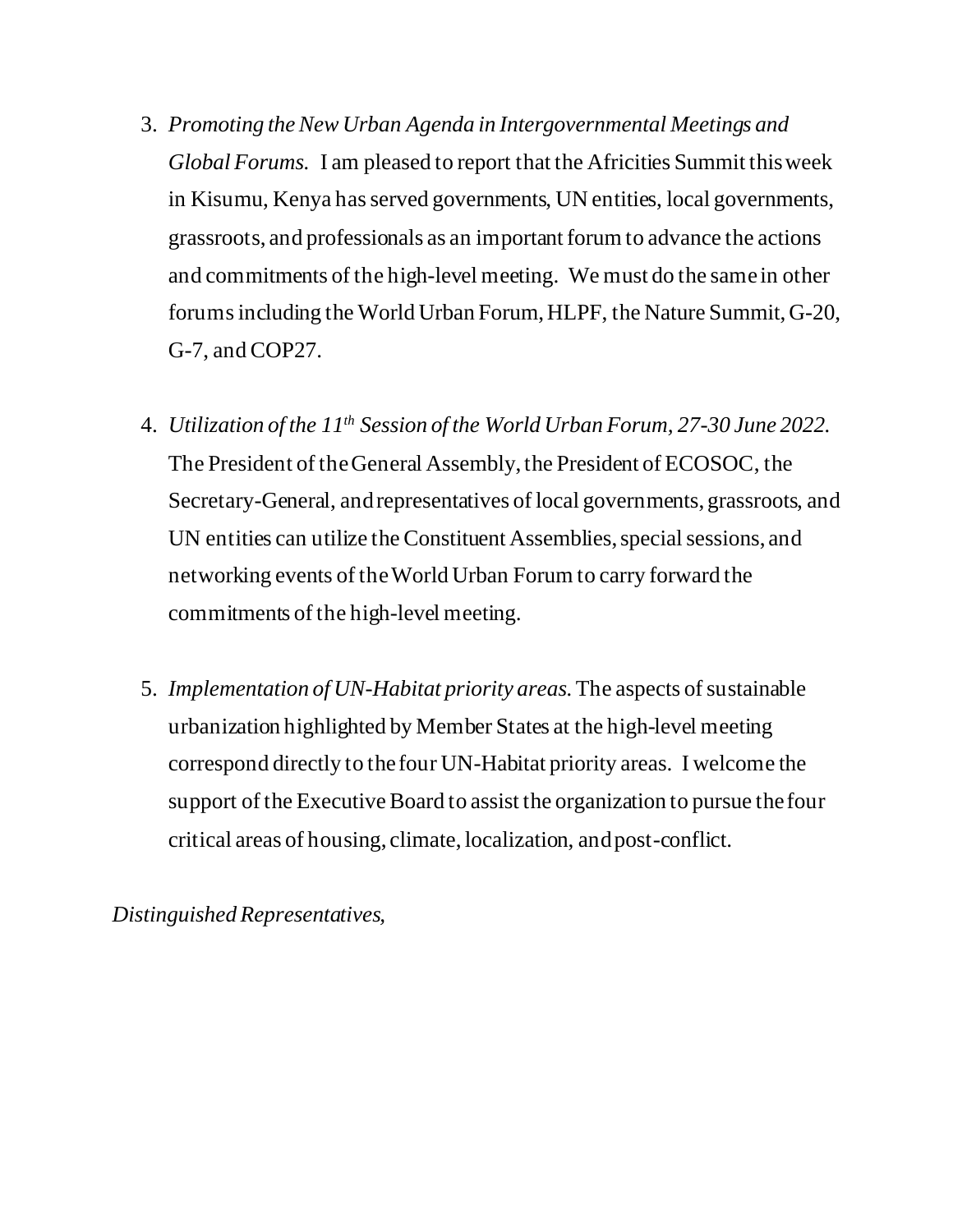- 3. *Promoting the New Urban Agenda in Intergovernmental Meetings and Global Forums.* I am pleased to report that the Africities Summit this week in Kisumu, Kenya has served governments, UN entities, local governments, grassroots, and professionals as an important forum to advance the actions and commitments of the high-level meeting. We must do the same in other forums including the World Urban Forum, HLPF, the Nature Summit, G-20, G-7, and COP27.
- 4. *Utilization of the 11th Session of the World Urban Forum, 27-30 June 2022.* The President of the General Assembly, the President of ECOSOC, the Secretary-General, and representatives of local governments, grassroots, and UN entities can utilize the Constituent Assemblies, special sessions, and networking events of the World Urban Forum to carry forward the commitments of the high-level meeting.
- 5. *Implementation of UN-Habitat priority areas.* The aspects of sustainable urbanization highlighted by Member States at the high-level meeting correspond directly to the four UN-Habitat priority areas. I welcome the support of the Executive Board to assist the organization to pursue the four critical areas of housing, climate, localization, and post-conflict.

*Distinguished Representatives,*